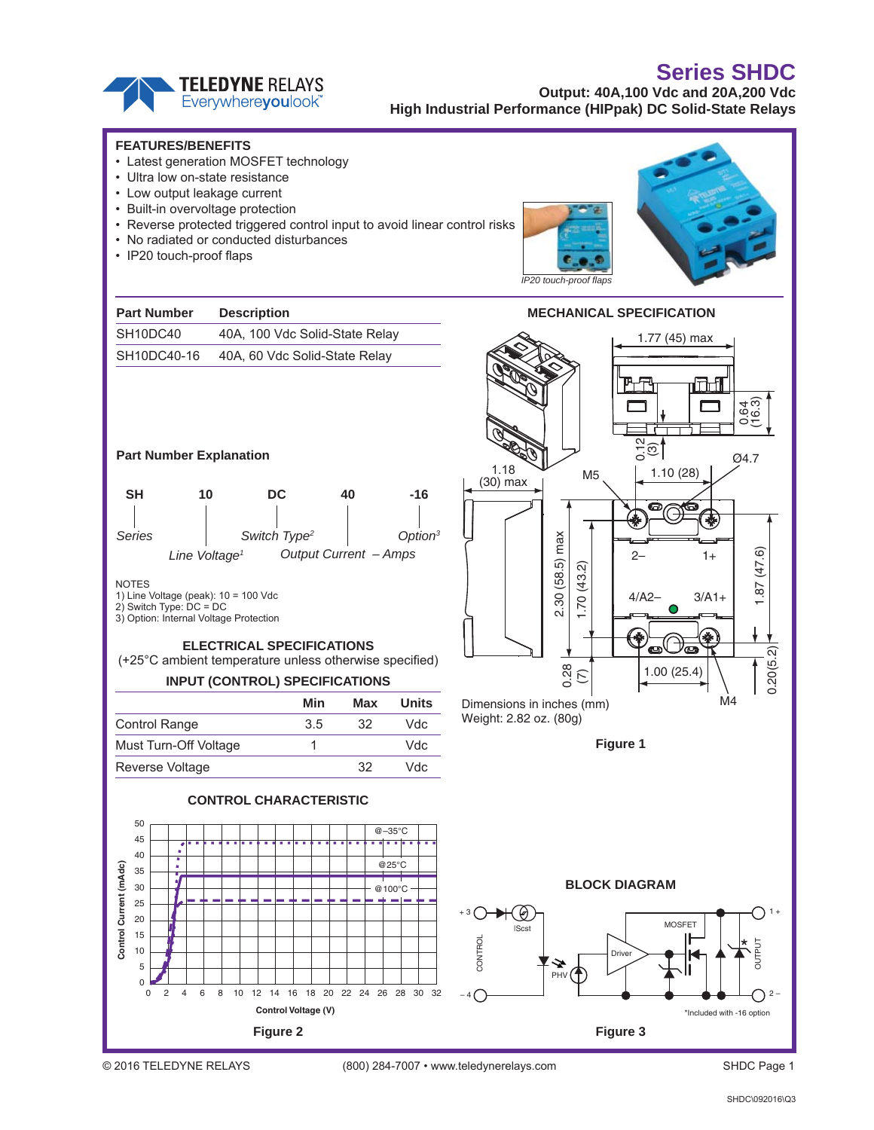

**Output: 40A,100 Vdc and 20A,200 Vdc High Industrial Performance (HIPpak) DC Solid-State Relays** 

**Series SHDC**

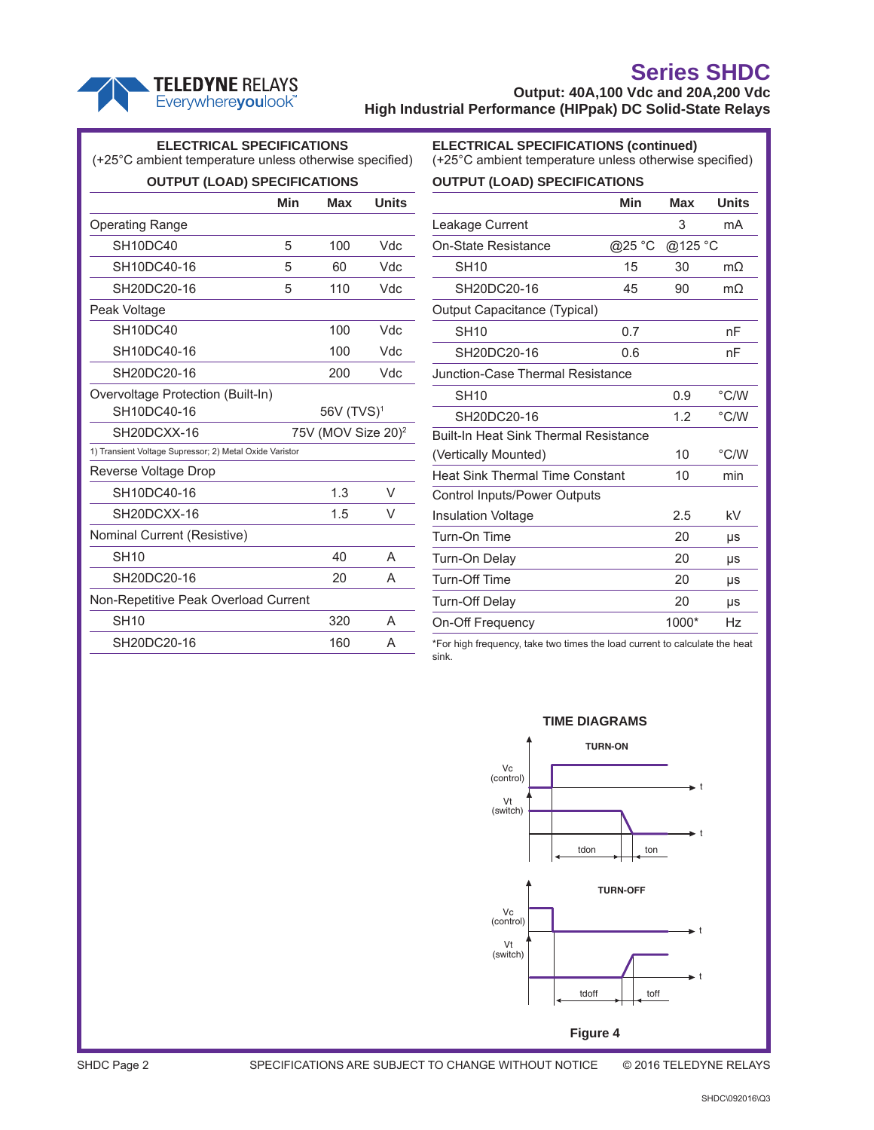

**Output: 40A,100 Vdc and 20A,200 Vdc High Industrial Performance (HIPpak) DC Solid-State Relays** 

**ELECTRICAL SPECIFICATIONS** (+25°C ambient temperature unless otherwise specified) **OUTPUT (LOAD) SPECIFICATIONS**

**ELECTRICAL SPECIFICATIONS (continued)** (+25°C ambient temperature unless otherwise specified) **OUTPUT (LOAD) SPECIFICATIONS**

|                                                         | Min                            | Max                    | <b>Units</b> |
|---------------------------------------------------------|--------------------------------|------------------------|--------------|
| <b>Operating Range</b>                                  |                                |                        |              |
| SH10DC40                                                | 5                              | 100                    | Vdc          |
| SH10DC40-16                                             | 5                              | 60                     | Vdc          |
| SH20DC20-16                                             | 5                              | 110                    | Vdc          |
| Peak Voltage                                            |                                |                        |              |
| SH10DC40                                                |                                | 100                    | Vdc          |
| SH10DC40-16                                             |                                | 100                    | Vdc          |
| SH20DC20-16                                             |                                | 200                    | Vdc          |
| Overvoltage Protection (Built-In)<br>SH10DC40-16        |                                | 56V (TVS) <sup>1</sup> |              |
| SH20DCXX-16                                             | 75V (MOV Size 20) <sup>2</sup> |                        |              |
| 1) Transient Voltage Supressor; 2) Metal Oxide Varistor |                                |                        |              |
| Reverse Voltage Drop                                    |                                |                        |              |
| SH10DC40-16                                             |                                | 1.3                    | V            |
| SH20DCXX-16                                             |                                | 1.5                    | V            |
| Nominal Current (Resistive)                             |                                |                        |              |
| <b>SH10</b>                                             |                                | 40                     | A            |
| SH20DC20-16                                             |                                | 20                     | A            |
| Non-Repetitive Peak Overload Current                    |                                |                        |              |
| <b>SH10</b>                                             |                                | 320                    | A            |
| SH20DC20-16                                             |                                | 160                    | A            |
|                                                         |                                |                        |              |

|                                              | Min    | Max     | <b>Units</b>   |
|----------------------------------------------|--------|---------|----------------|
| Leakage Current                              |        | 3       | mA             |
| On-State Resistance                          | @25 °C | @125 °C |                |
| <b>SH10</b>                                  | 15     | 30      | $m\Omega$      |
| SH20DC20-16                                  | 45     | 90      | m <sub>O</sub> |
| Output Capacitance (Typical)                 |        |         |                |
| <b>SH10</b>                                  | 0.7    |         | nF             |
| SH20DC20-16                                  | 0.6    |         | nF             |
| Junction-Case Thermal Resistance             |        |         |                |
| <b>SH10</b>                                  |        | 0.9     | $\degree$ C/W  |
| SH20DC20-16                                  |        | 1.2     | $\degree$ C/W  |
| <b>Built-In Heat Sink Thermal Resistance</b> |        |         |                |
| (Vertically Mounted)                         |        | 10      | $\degree$ C/W  |
| <b>Heat Sink Thermal Time Constant</b>       |        | 10      | min            |
| Control Inputs/Power Outputs                 |        |         |                |
| <b>Insulation Voltage</b>                    |        | 2.5     | kV             |
| Turn-On Time                                 |        | 20      | μs             |
| Turn-On Delay                                |        | 20      | μs             |
| <b>Turn-Off Time</b>                         |        | 20      | μs             |
| <b>Turn-Off Delay</b>                        |        | 20      | μs             |
| On-Off Frequency                             |        | 1000*   | Hz             |
|                                              |        |         |                |

\*For high frequency, take two times the load current to calculate the heat sink.



#### **TIME DIAGRAMS**

SHDC Page 2 SPECIFICATIONS ARE SUBJECT TO CHANGE WITHOUT NOTICE © 2016 TELEDYNE RELAYS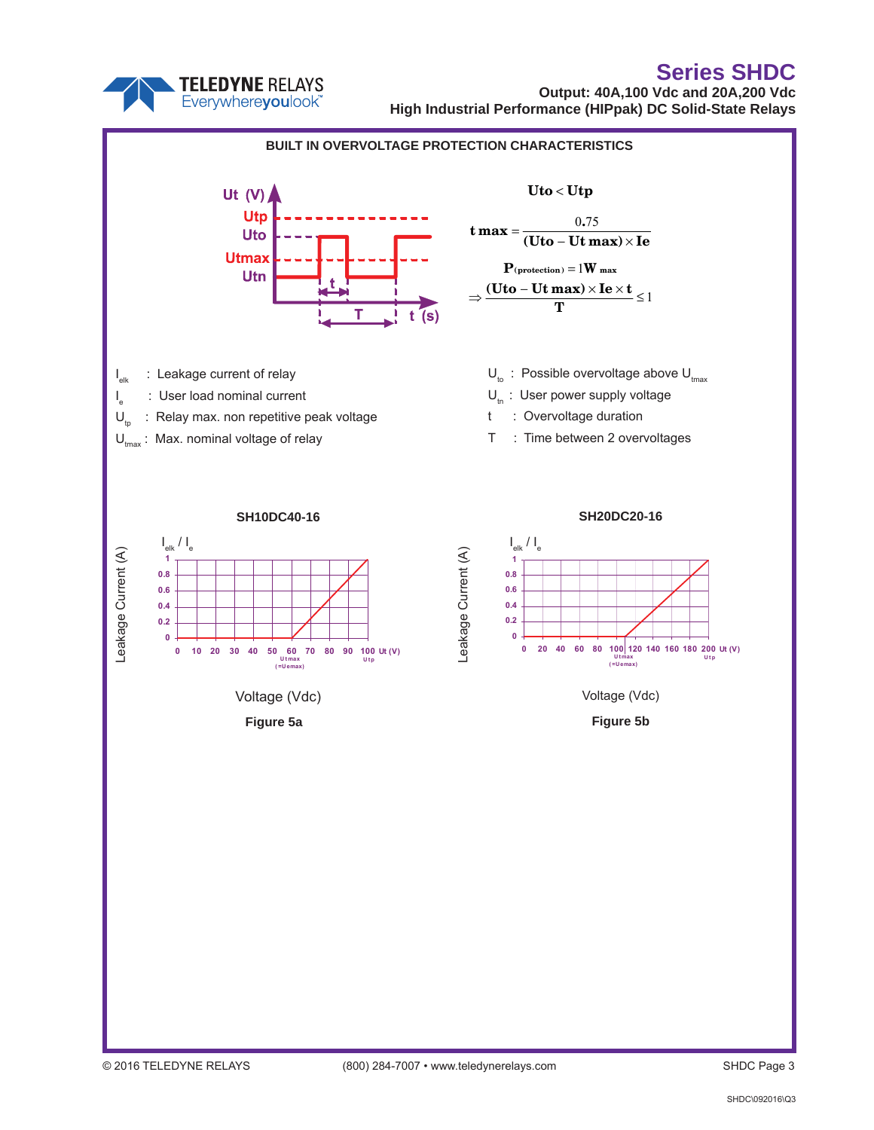

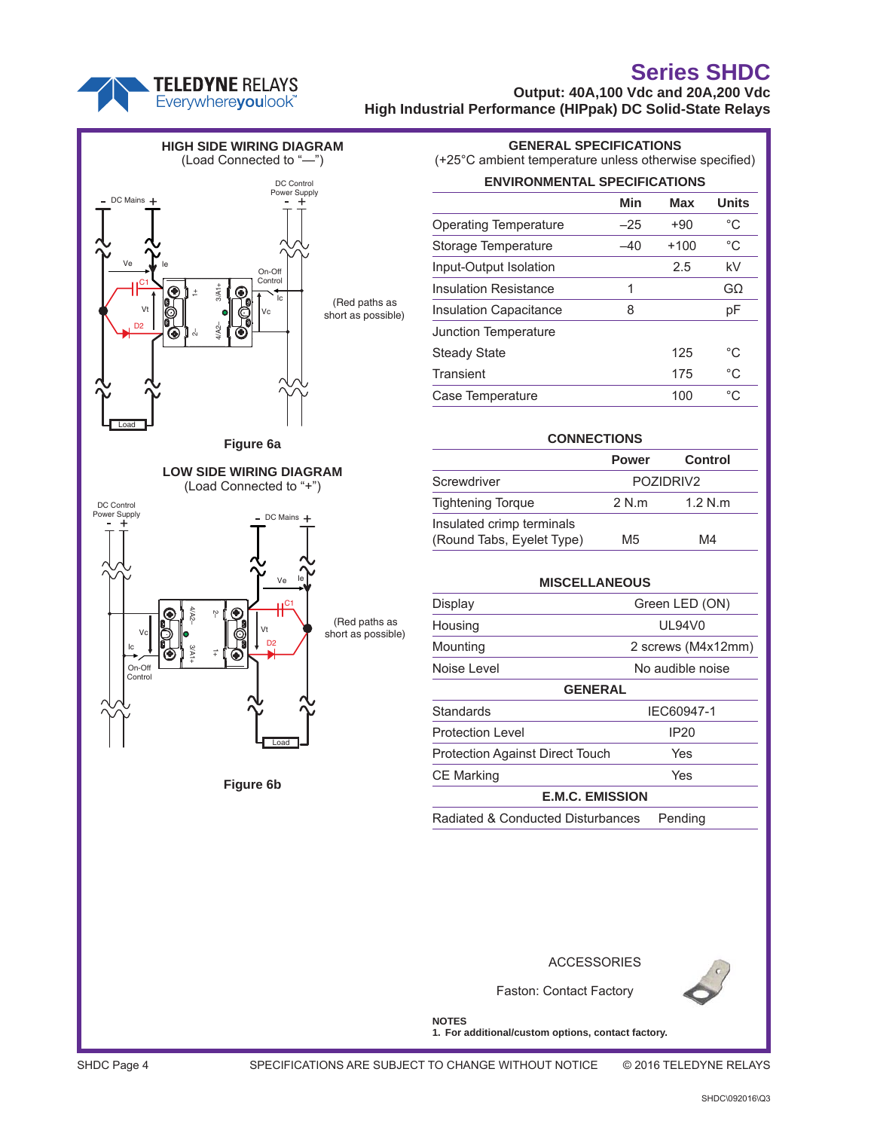

**Output: 40A,100 Vdc and 20A,200 Vdc High Industrial Performance (HIPpak) DC Solid-State Relays** 



| <b>GENERAL SPECIFICATIONS</b>                          |       |        |              |  |  |
|--------------------------------------------------------|-------|--------|--------------|--|--|
| (+25°C ambient temperature unless otherwise specified) |       |        |              |  |  |
| <b>ENVIRONMENTAL SPECIFICATIONS</b>                    |       |        |              |  |  |
|                                                        | Min   | Max    | <b>Units</b> |  |  |
| <b>Operating Temperature</b>                           | $-25$ | $+90$  | °C           |  |  |
| Storage Temperature                                    | -40   | $+100$ | °C           |  |  |
| Input-Output Isolation                                 |       | 2.5    | kV           |  |  |
| Insulation Resistance                                  | 1     |        | GΩ           |  |  |
| Insulation Capacitance                                 | 8     |        | рF           |  |  |
| Junction Temperature                                   |       |        |              |  |  |
| <b>Steady State</b>                                    |       | 125    | °C           |  |  |
| Transient                                              |       | 175    | $^{\circ}C$  |  |  |
| Case Temperature                                       |       | 100    | °C           |  |  |

### **CONNECTIONS**

|                                                        | <b>Power</b>          | <b>Control</b> |  |
|--------------------------------------------------------|-----------------------|----------------|--|
| Screwdriver                                            | POZIDRIV <sub>2</sub> |                |  |
| <b>Tightening Torque</b>                               | 2 N.m                 | $1.2$ N.m.     |  |
| Insulated crimp terminals<br>(Round Tabs, Eyelet Type) | M <sub>5</sub>        | M4             |  |

#### **MISCELLANEOUS**

| Display                                | Green LED (ON)     |  |  |
|----------------------------------------|--------------------|--|--|
| Housing                                | UI 94V0            |  |  |
| Mounting                               | 2 screws (M4x12mm) |  |  |
| Noise Level                            | No audible noise   |  |  |
| <b>GENERAL</b>                         |                    |  |  |
| Standards                              | IEC60947-1         |  |  |
| Protection Level                       | <b>IP20</b>        |  |  |
| <b>Protection Against Direct Touch</b> | Yes                |  |  |
| <b>CE Marking</b>                      | Yes                |  |  |
| <b>E.M.C. EMISSION</b>                 |                    |  |  |
| Radiated & Conducted Disturbances      | Pending            |  |  |

### ACCESSORIES

Faston: Contact Factory

**NOTES 1. For additional/custom options, contact factory.**

SHDC Page 4 SPECIFICATIONS ARE SUBJECT TO CHANGE WITHOUT NOTICE © 2016 TELEDYNE RELAYS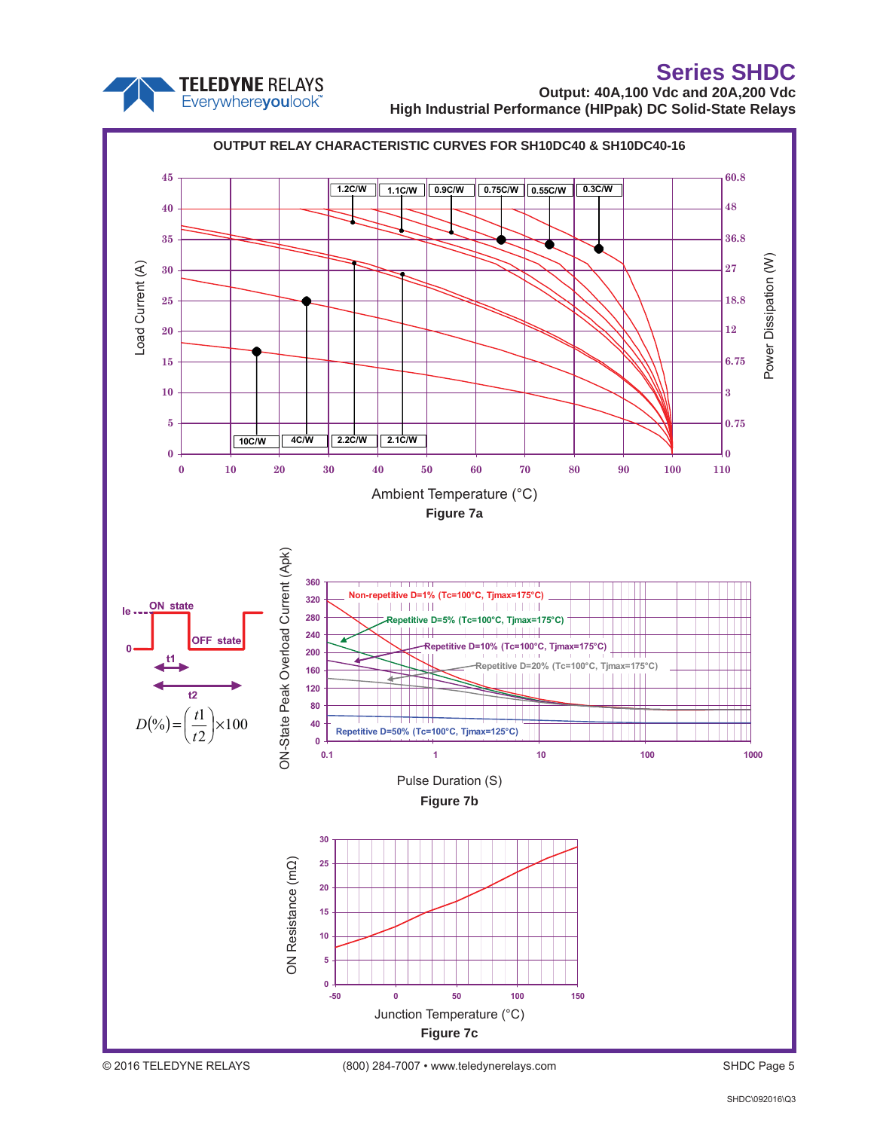

**Output: 40A,100 Vdc and 20A,200 Vdc High Industrial Performance (HIPpak) DC Solid-State Relays**